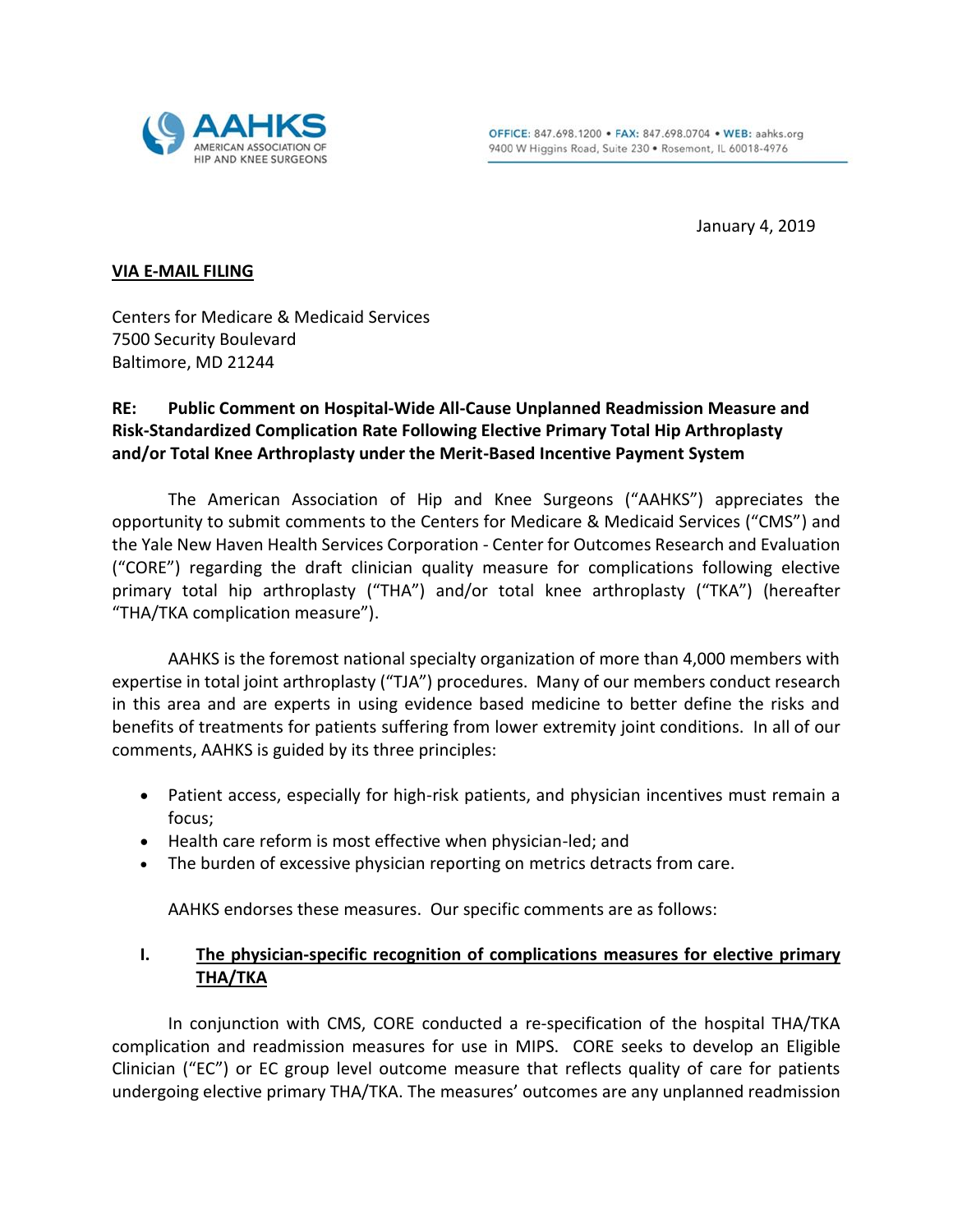

January 4, 2019

#### **VIA E-MAIL FILING**

Centers for Medicare & Medicaid Services 7500 Security Boulevard Baltimore, MD 21244

# **RE: Public Comment on Hospital-Wide All-Cause Unplanned Readmission Measure and Risk-Standardized Complication Rate Following Elective Primary Total Hip Arthroplasty and/or Total Knee Arthroplasty under the Merit-Based Incentive Payment System**

The American Association of Hip and Knee Surgeons ("AAHKS") appreciates the opportunity to submit comments to the Centers for Medicare & Medicaid Services ("CMS") and the Yale New Haven Health Services Corporation - Center for Outcomes Research and Evaluation ("CORE") regarding the draft clinician quality measure for complications following elective primary total hip arthroplasty ("THA") and/or total knee arthroplasty ("TKA") (hereafter "THA/TKA complication measure").

AAHKS is the foremost national specialty organization of more than 4,000 members with expertise in total joint arthroplasty ("TJA") procedures. Many of our members conduct research in this area and are experts in using evidence based medicine to better define the risks and benefits of treatments for patients suffering from lower extremity joint conditions. In all of our comments, AAHKS is guided by its three principles:

- Patient access, especially for high-risk patients, and physician incentives must remain a focus;
- Health care reform is most effective when physician-led; and
- The burden of excessive physician reporting on metrics detracts from care.

AAHKS endorses these measures. Our specific comments are as follows:

## **I. The physician-specific recognition of complications measures for elective primary THA/TKA**

In conjunction with CMS, CORE conducted a re-specification of the hospital THA/TKA complication and readmission measures for use in MIPS. CORE seeks to develop an Eligible Clinician ("EC") or EC group level outcome measure that reflects quality of care for patients undergoing elective primary THA/TKA. The measures' outcomes are any unplanned readmission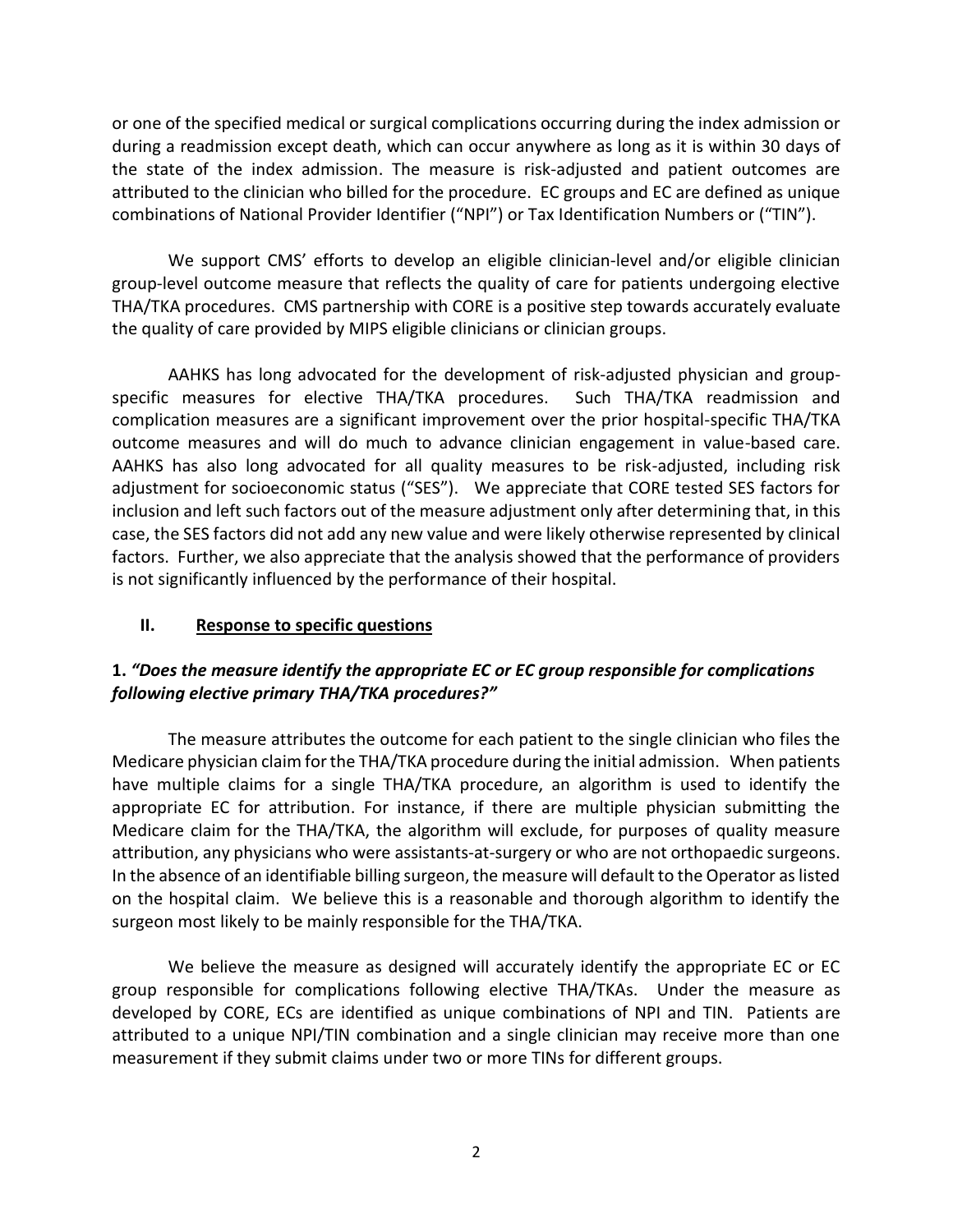or one of the specified medical or surgical complications occurring during the index admission or during a readmission except death, which can occur anywhere as long as it is within 30 days of the state of the index admission. The measure is risk-adjusted and patient outcomes are attributed to the clinician who billed for the procedure. EC groups and EC are defined as unique combinations of National Provider Identifier ("NPI") or Tax Identification Numbers or ("TIN").

We support CMS' efforts to develop an eligible clinician-level and/or eligible clinician group-level outcome measure that reflects the quality of care for patients undergoing elective THA/TKA procedures. CMS partnership with CORE is a positive step towards accurately evaluate the quality of care provided by MIPS eligible clinicians or clinician groups.

AAHKS has long advocated for the development of risk-adjusted physician and groupspecific measures for elective THA/TKA procedures. Such THA/TKA readmission and complication measures are a significant improvement over the prior hospital-specific THA/TKA outcome measures and will do much to advance clinician engagement in value-based care. AAHKS has also long advocated for all quality measures to be risk-adjusted, including risk adjustment for socioeconomic status ("SES"). We appreciate that CORE tested SES factors for inclusion and left such factors out of the measure adjustment only after determining that, in this case, the SES factors did not add any new value and were likely otherwise represented by clinical factors. Further, we also appreciate that the analysis showed that the performance of providers is not significantly influenced by the performance of their hospital.

#### **II. Response to specific questions**

## **1.** *"Does the measure identify the appropriate EC or EC group responsible for complications following elective primary THA/TKA procedures?"*

The measure attributes the outcome for each patient to the single clinician who files the Medicare physician claim for the THA/TKA procedure during the initial admission. When patients have multiple claims for a single THA/TKA procedure, an algorithm is used to identify the appropriate EC for attribution. For instance, if there are multiple physician submitting the Medicare claim for the THA/TKA, the algorithm will exclude, for purposes of quality measure attribution, any physicians who were assistants-at-surgery or who are not orthopaedic surgeons. In the absence of an identifiable billing surgeon, the measure will default to the Operator as listed on the hospital claim. We believe this is a reasonable and thorough algorithm to identify the surgeon most likely to be mainly responsible for the THA/TKA.

We believe the measure as designed will accurately identify the appropriate EC or EC group responsible for complications following elective THA/TKAs. Under the measure as developed by CORE, ECs are identified as unique combinations of NPI and TIN. Patients are attributed to a unique NPI/TIN combination and a single clinician may receive more than one measurement if they submit claims under two or more TINs for different groups.